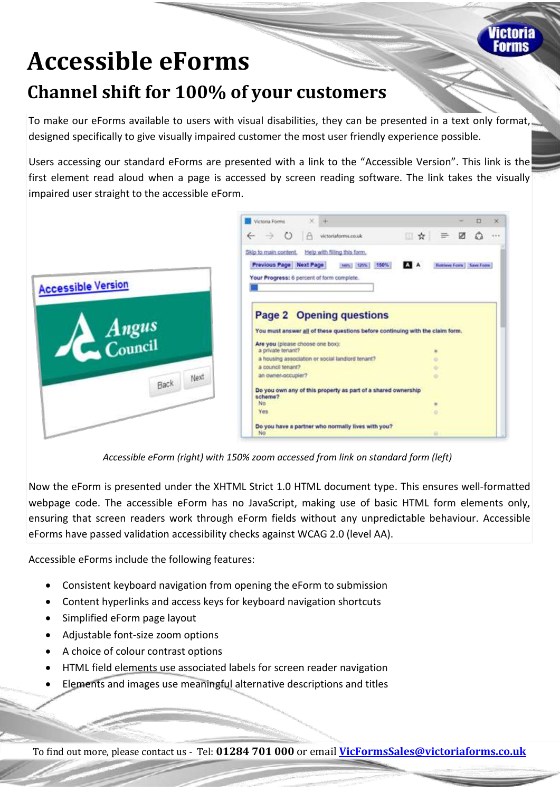

## **Accessible eForms Channel shift for 100% of your customers**

To make our eForms available to users with visual disabilities, they can be presented in a text only format, designed specifically to give visually impaired customer the most user friendly experience possible.

Users accessing our standard eForms are presented with a link to the "Accessible Version". This link is the first element read aloud when a page is accessed by screen reading software. The link takes the visually impaired user straight to the accessible eForm.



*Accessible eForm (right) with 150% zoom accessed from link on standard form (left)*

Now the eForm is presented under the XHTML Strict 1.0 HTML document type. This ensures well-formatted webpage code. The accessible eForm has no JavaScript, making use of basic HTML form elements only, ensuring that screen readers work through eForm fields without any unpredictable behaviour. Accessible eForms have passed validation accessibility checks against WCAG 2.0 (level AA).

Accessible eForms include the following features:

- Consistent keyboard navigation from opening the eForm to submission
- Content hyperlinks and access keys for keyboard navigation shortcuts
- Simplified eForm page layout
- Adjustable font-size zoom options
- A choice of colour contrast options
- HTML field elements use associated labels for screen reader navigation
- Elements and images use meaningful alternative descriptions and titles

To find out more, please contact us - Tel: **01284 701 000** or email **[VicFormsSales@victoriaforms.co.uk](mailto:VicFormsSales@victoriaforms.co.uk)**